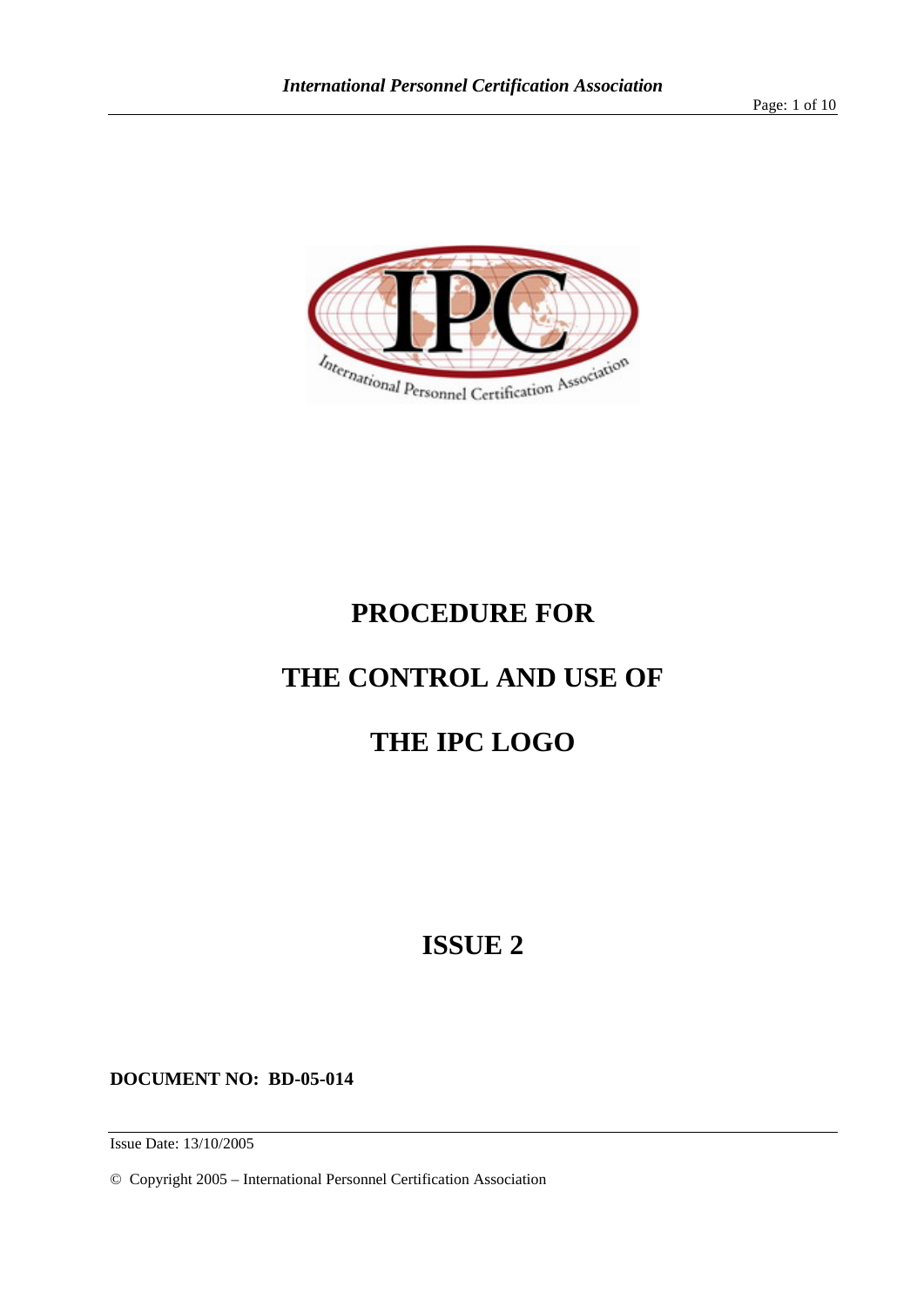Page: 1 of 10



# **PROCEDURE FOR**

# **THE CONTROL AND USE OF**

# **THE IPC LOGO**

# **ISSUE 2**

**DOCUMENT NO: BD-05-014**

Issue Date: 13/10/2005

© Copyright 2005 – International Personnel Certification Association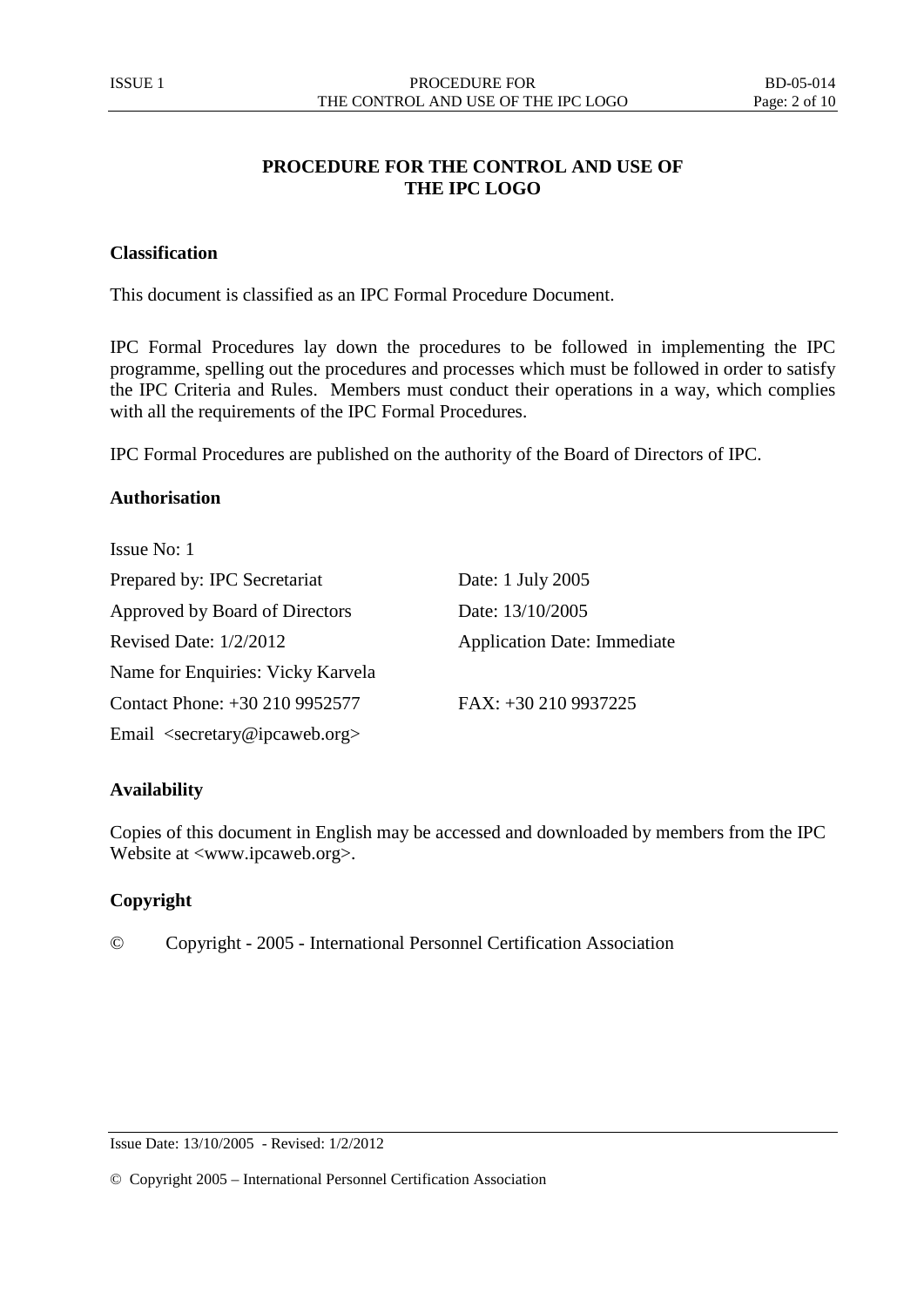# **PROCEDURE FOR THE CONTROL AND USE OF THE IPC LOGO**

# <span id="page-1-0"></span>**Classification**

This document is classified as an IPC Formal Procedure Document.

IPC Formal Procedures lay down the procedures to be followed in implementing the IPC programme, spelling out the procedures and processes which must be followed in order to satisfy the IPC Criteria and Rules. Members must conduct their operations in a way, which complies with all the requirements of the IPC Formal Procedures.

IPC Formal Procedures are published on the authority of the Board of Directors of IPC.

#### <span id="page-1-1"></span>**Authorisation**

| Issue No: 1                                           |                                    |
|-------------------------------------------------------|------------------------------------|
| Prepared by: IPC Secretariat                          | Date: 1 July 2005                  |
| Approved by Board of Directors                        | Date: 13/10/2005                   |
| Revised Date: $1/2/2012$                              | <b>Application Date: Immediate</b> |
| Name for Enquiries: Vicky Karvela                     |                                    |
| Contact Phone: +30 210 9952577                        | FAX: +30 210 9937225               |
| Email <secretary@ipcaweb.org></secretary@ipcaweb.org> |                                    |

## <span id="page-1-2"></span>**Availability**

Copies of this document in English may be accessed and downloaded by members from the IPC Website at <www.ipcaweb.org>.

## <span id="page-1-3"></span>**Copyright**

© Copyright - 2005 - International Personnel Certification Association

© Copyright 2005 – International Personnel Certification Association

Issue Date: 13/10/2005 - Revised: 1/2/2012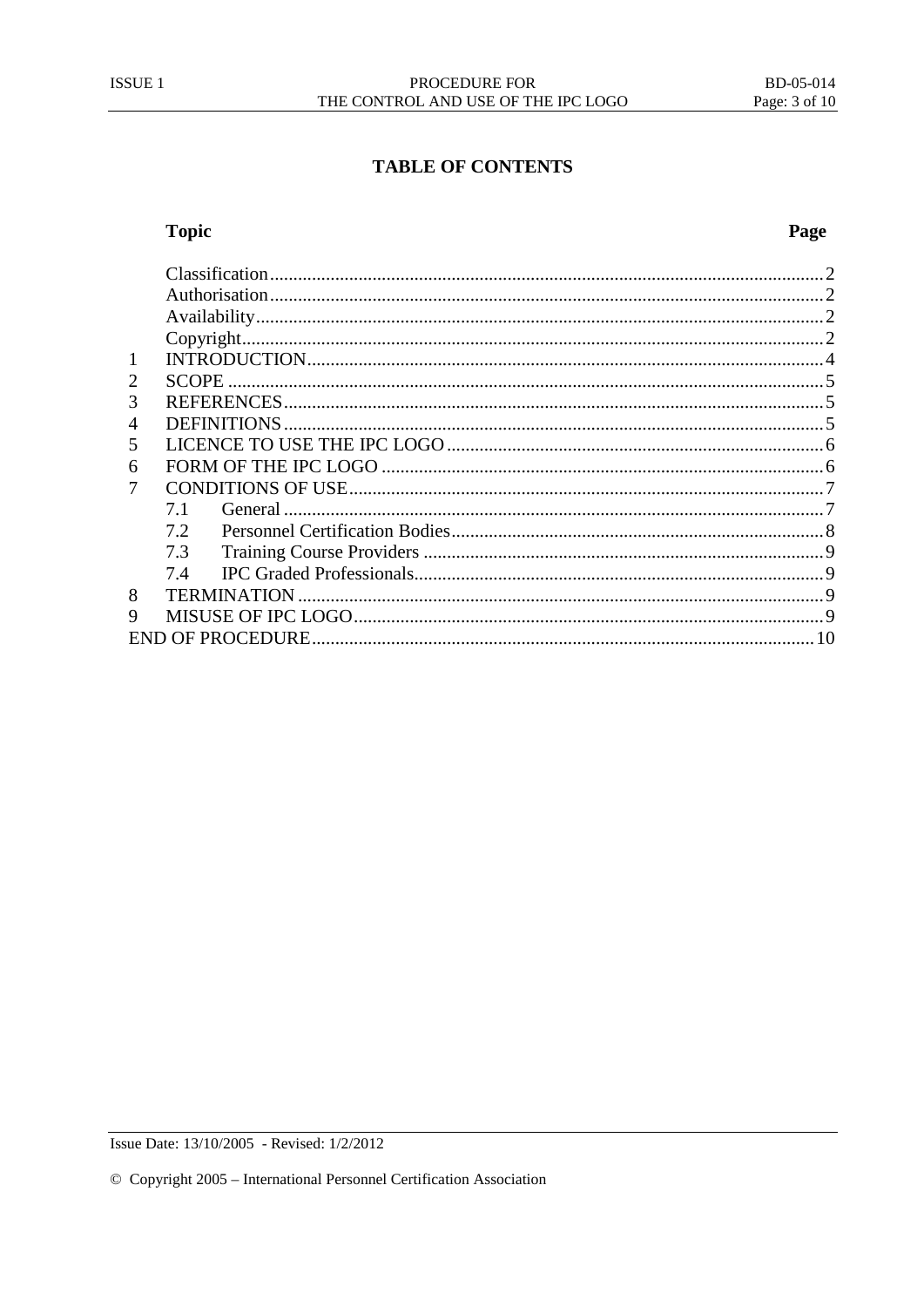# **Topic**

| 1 |     |  |  |
|---|-----|--|--|
| 2 |     |  |  |
| 3 |     |  |  |
| 4 |     |  |  |
| 5 |     |  |  |
| 6 |     |  |  |
| 7 |     |  |  |
|   | 7.1 |  |  |
|   | 7.2 |  |  |
|   | 7.3 |  |  |
|   | 7.4 |  |  |
| 8 |     |  |  |
| 9 |     |  |  |
|   |     |  |  |

Issue Date: 13/10/2005 - Revised: 1/2/2012

# Page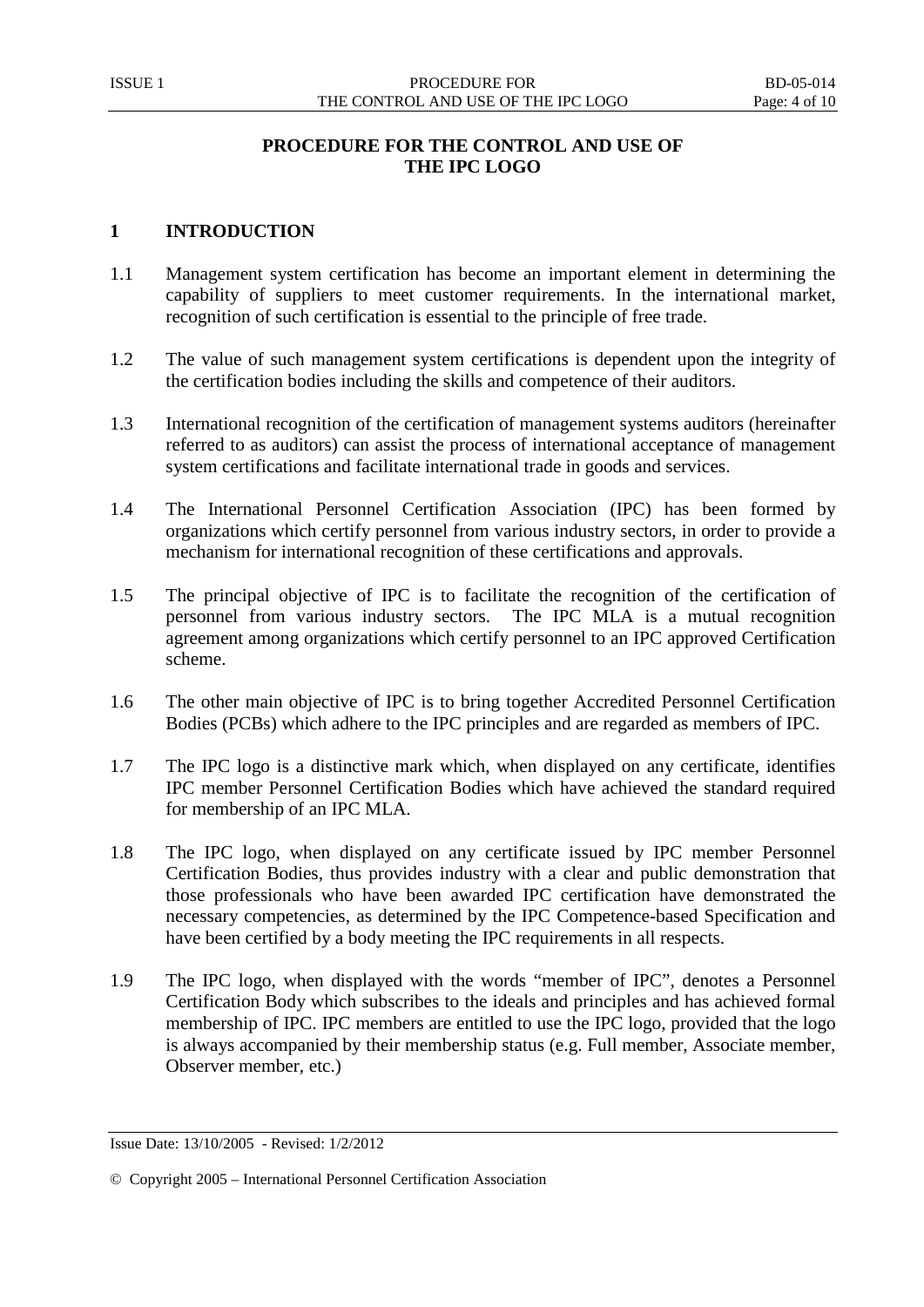# **PROCEDURE FOR THE CONTROL AND USE OF THE IPC LOGO**

# <span id="page-3-0"></span>**1 INTRODUCTION**

- 1.1 Management system certification has become an important element in determining the capability of suppliers to meet customer requirements. In the international market, recognition of such certification is essential to the principle of free trade.
- 1.2 The value of such management system certifications is dependent upon the integrity of the certification bodies including the skills and competence of their auditors.
- 1.3 International recognition of the certification of management systems auditors (hereinafter referred to as auditors) can assist the process of international acceptance of management system certifications and facilitate international trade in goods and services.
- 1.4 The International Personnel Certification Association (IPC) has been formed by organizations which certify personnel from various industry sectors, in order to provide a mechanism for international recognition of these certifications and approvals.
- 1.5 The principal objective of IPC is to facilitate the recognition of the certification of personnel from various industry sectors. The IPC MLA is a mutual recognition agreement among organizations which certify personnel to an IPC approved Certification scheme.
- 1.6 The other main objective of IPC is to bring together Accredited Personnel Certification Bodies (PCBs) which adhere to the IPC principles and are regarded as members of IPC.
- 1.7 The IPC logo is a distinctive mark which, when displayed on any certificate, identifies IPC member Personnel Certification Bodies which have achieved the standard required for membership of an IPC MLA.
- 1.8 The IPC logo, when displayed on any certificate issued by IPC member Personnel Certification Bodies, thus provides industry with a clear and public demonstration that those professionals who have been awarded IPC certification have demonstrated the necessary competencies, as determined by the IPC Competence-based Specification and have been certified by a body meeting the IPC requirements in all respects.
- 1.9 The IPC logo, when displayed with the words "member of IPC", denotes a Personnel Certification Body which subscribes to the ideals and principles and has achieved formal membership of IPC. IPC members are entitled to use the IPC logo, provided that the logo is always accompanied by their membership status (e.g. Full member, Associate member, Observer member, etc.)

Issue Date: 13/10/2005 - Revised: 1/2/2012

<sup>©</sup> Copyright 2005 – International Personnel Certification Association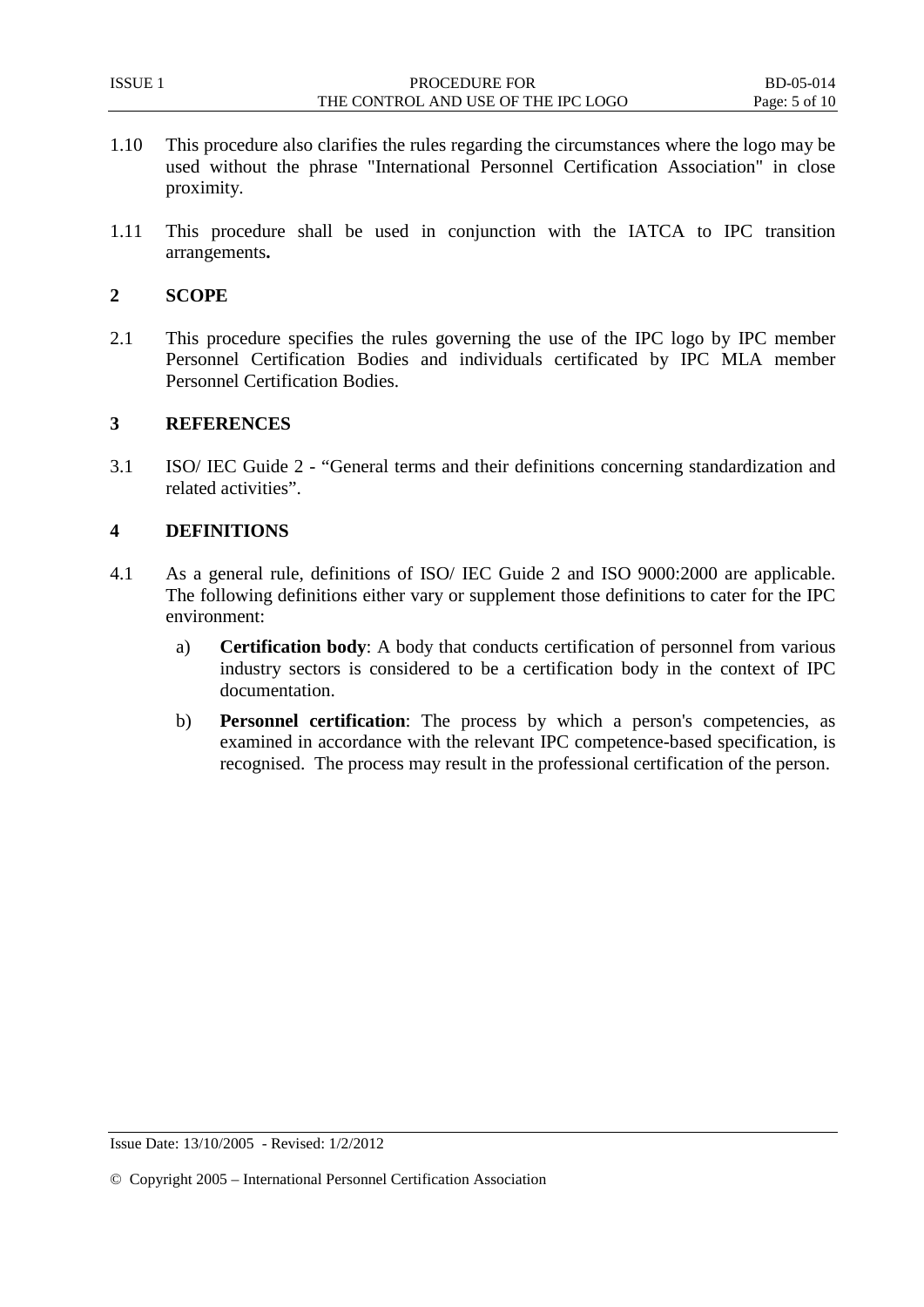- 1.10 This procedure also clarifies the rules regarding the circumstances where the logo may be used without the phrase "International Personnel Certification Association" in close proximity.
- 1.11 This procedure shall be used in conjunction with the IATCA to IPC transition arrangements**.**

#### <span id="page-4-0"></span>**2 SCOPE**

2.1 This procedure specifies the rules governing the use of the IPC logo by IPC member Personnel Certification Bodies and individuals certificated by IPC MLA member Personnel Certification Bodies.

#### <span id="page-4-1"></span>**3 REFERENCES**

3.1 ISO/ IEC Guide 2 - "General terms and their definitions concerning standardization and related activities".

## <span id="page-4-2"></span>**4 DEFINITIONS**

- 4.1 As a general rule, definitions of ISO/ IEC Guide 2 and ISO 9000:2000 are applicable. The following definitions either vary or supplement those definitions to cater for the IPC environment:
	- a) **Certification body**: A body that conducts certification of personnel from various industry sectors is considered to be a certification body in the context of IPC documentation.
	- b) **Personnel certification**: The process by which a person's competencies, as examined in accordance with the relevant IPC competence-based specification, is recognised. The process may result in the professional certification of the person.

<sup>©</sup> Copyright 2005 – International Personnel Certification Association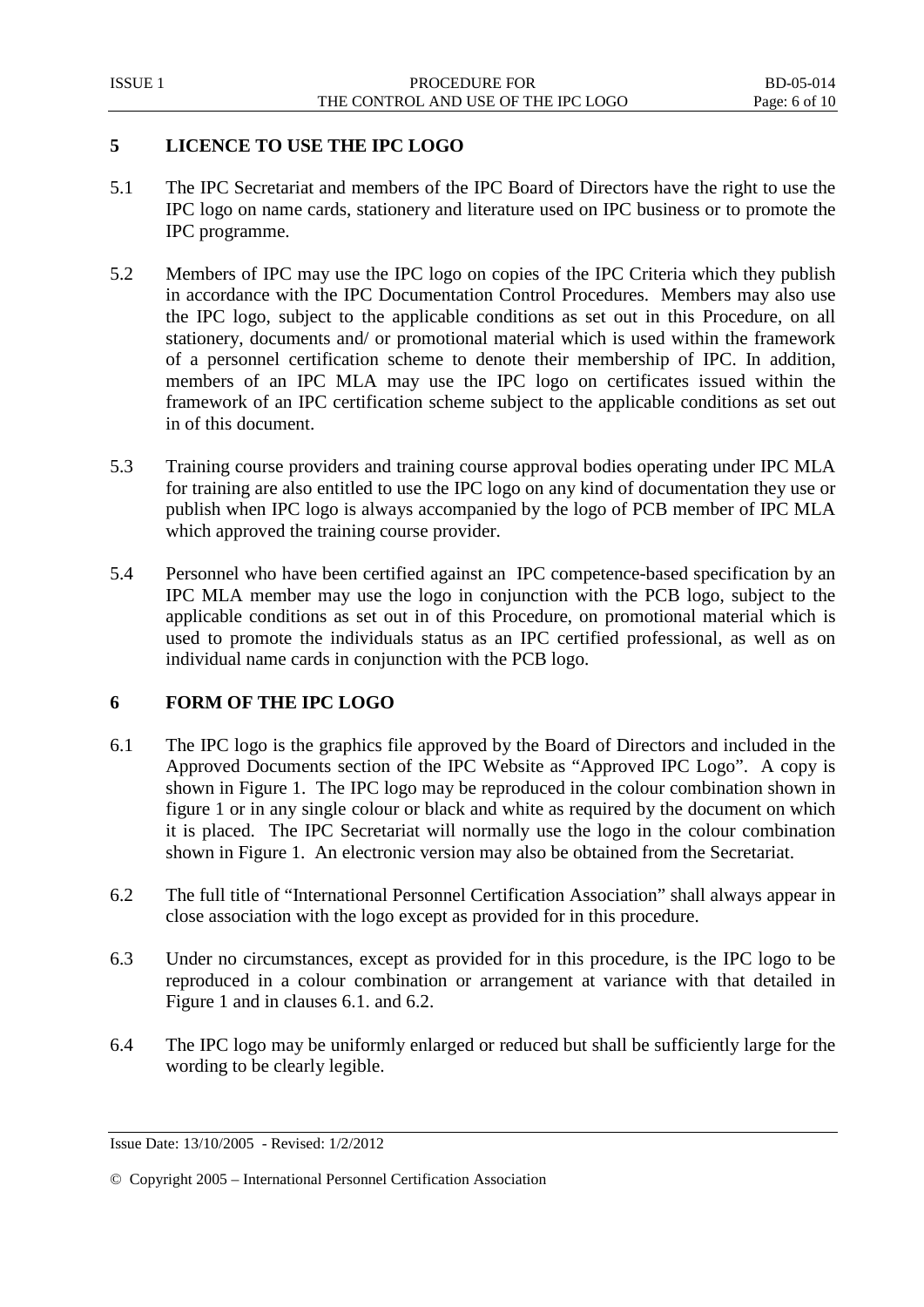# <span id="page-5-0"></span>**5 LICENCE TO USE THE IPC LOGO**

- 5.1 The IPC Secretariat and members of the IPC Board of Directors have the right to use the IPC logo on name cards, stationery and literature used on IPC business or to promote the IPC programme.
- 5.2 Members of IPC may use the IPC logo on copies of the IPC Criteria which they publish in accordance with the IPC Documentation Control Procedures. Members may also use the IPC logo, subject to the applicable conditions as set out in this Procedure, on all stationery, documents and/ or promotional material which is used within the framework of a personnel certification scheme to denote their membership of IPC. In addition, members of an IPC MLA may use the IPC logo on certificates issued within the framework of an IPC certification scheme subject to the applicable conditions as set out in of this document.
- 5.3 Training course providers and training course approval bodies operating under IPC MLA for training are also entitled to use the IPC logo on any kind of documentation they use or publish when IPC logo is always accompanied by the logo of PCB member of IPC MLA which approved the training course provider.
- 5.4 Personnel who have been certified against an IPC competence-based specification by an IPC MLA member may use the logo in conjunction with the PCB logo, subject to the applicable conditions as set out in of this Procedure, on promotional material which is used to promote the individuals status as an IPC certified professional, as well as on individual name cards in conjunction with the PCB logo.

# <span id="page-5-1"></span>**6 FORM OF THE IPC LOGO**

- 6.1 The IPC logo is the graphics file approved by the Board of Directors and included in the Approved Documents section of the IPC Website as "Approved IPC Logo". A copy is shown in Figure 1. The IPC logo may be reproduced in the colour combination shown in figure 1 or in any single colour or black and white as required by the document on which it is placed. The IPC Secretariat will normally use the logo in the colour combination shown in Figure 1. An electronic version may also be obtained from the Secretariat.
- 6.2 The full title of "International Personnel Certification Association" shall always appear in close association with the logo except as provided for in this procedure.
- 6.3 Under no circumstances, except as provided for in this procedure, is the IPC logo to be reproduced in a colour combination or arrangement at variance with that detailed in Figure 1 and in clauses 6.1. and 6.2.
- 6.4 The IPC logo may be uniformly enlarged or reduced but shall be sufficiently large for the wording to be clearly legible.

Issue Date: 13/10/2005 - Revised: 1/2/2012

<sup>©</sup> Copyright 2005 – International Personnel Certification Association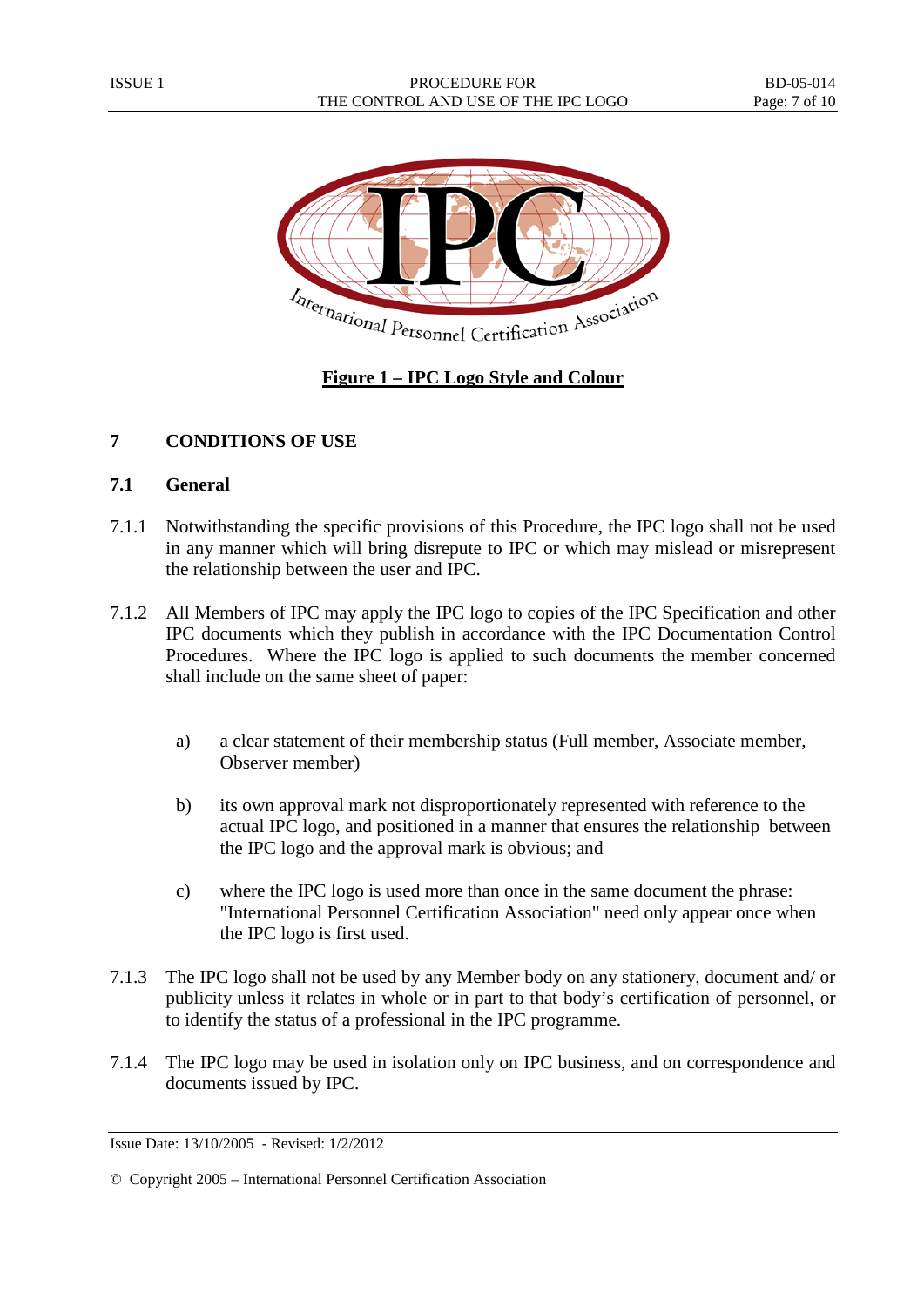

# **Figure 1 – IPC Logo Style and Colour**

# <span id="page-6-0"></span>**7 CONDITIONS OF USE**

## <span id="page-6-1"></span>**7.1 General**

- 7.1.1 Notwithstanding the specific provisions of this Procedure, the IPC logo shall not be used in any manner which will bring disrepute to IPC or which may mislead or misrepresent the relationship between the user and IPC.
- 7.1.2 All Members of IPC may apply the IPC logo to copies of the IPC Specification and other IPC documents which they publish in accordance with the IPC Documentation Control Procedures. Where the IPC logo is applied to such documents the member concerned shall include on the same sheet of paper:
	- a) a clear statement of their membership status (Full member, Associate member, Observer member)
	- b) its own approval mark not disproportionately represented with reference to the actual IPC logo, and positioned in a manner that ensures the relationship between the IPC logo and the approval mark is obvious; and
	- c) where the IPC logo is used more than once in the same document the phrase: "International Personnel Certification Association" need only appear once when the IPC logo is first used.
- 7.1.3 The IPC logo shall not be used by any Member body on any stationery, document and/ or publicity unless it relates in whole or in part to that body's certification of personnel, or to identify the status of a professional in the IPC programme.
- 7.1.4 The IPC logo may be used in isolation only on IPC business, and on correspondence and documents issued by IPC.

Issue Date: 13/10/2005 - Revised: 1/2/2012

<sup>©</sup> Copyright 2005 – International Personnel Certification Association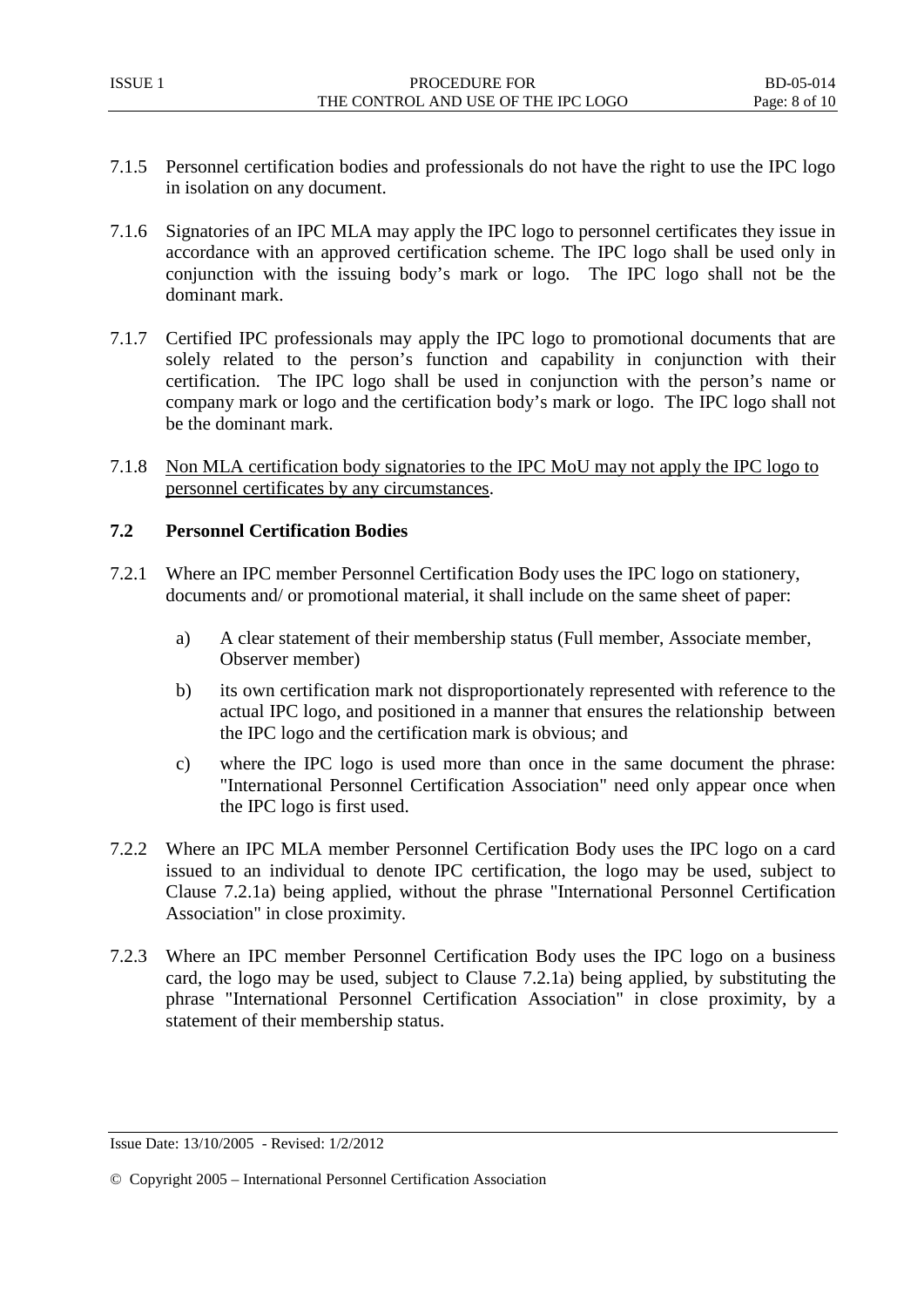- 7.1.5 Personnel certification bodies and professionals do not have the right to use the IPC logo in isolation on any document.
- 7.1.6 Signatories of an IPC MLA may apply the IPC logo to personnel certificates they issue in accordance with an approved certification scheme. The IPC logo shall be used only in conjunction with the issuing body's mark or logo. The IPC logo shall not be the dominant mark.
- 7.1.7 Certified IPC professionals may apply the IPC logo to promotional documents that are solely related to the person's function and capability in conjunction with their certification. The IPC logo shall be used in conjunction with the person's name or company mark or logo and the certification body's mark or logo. The IPC logo shall not be the dominant mark.
- 7.1.8 Non MLA certification body signatories to the IPC MoU may not apply the IPC logo to personnel certificates by any circumstances.

## <span id="page-7-0"></span>**7.2 Personnel Certification Bodies**

- 7.2.1 Where an IPC member Personnel Certification Body uses the IPC logo on stationery, documents and/ or promotional material, it shall include on the same sheet of paper:
	- a) A clear statement of their membership status (Full member, Associate member, Observer member)
	- b) its own certification mark not disproportionately represented with reference to the actual IPC logo, and positioned in a manner that ensures the relationship between the IPC logo and the certification mark is obvious; and
	- c) where the IPC logo is used more than once in the same document the phrase: "International Personnel Certification Association" need only appear once when the IPC logo is first used.
- 7.2.2 Where an IPC MLA member Personnel Certification Body uses the IPC logo on a card issued to an individual to denote IPC certification, the logo may be used, subject to Clause 7.2.1a) being applied, without the phrase "International Personnel Certification Association" in close proximity.
- 7.2.3 Where an IPC member Personnel Certification Body uses the IPC logo on a business card, the logo may be used, subject to Clause 7.2.1a) being applied, by substituting the phrase "International Personnel Certification Association" in close proximity, by a statement of their membership status.

Issue Date: 13/10/2005 - Revised: 1/2/2012

<sup>©</sup> Copyright 2005 – International Personnel Certification Association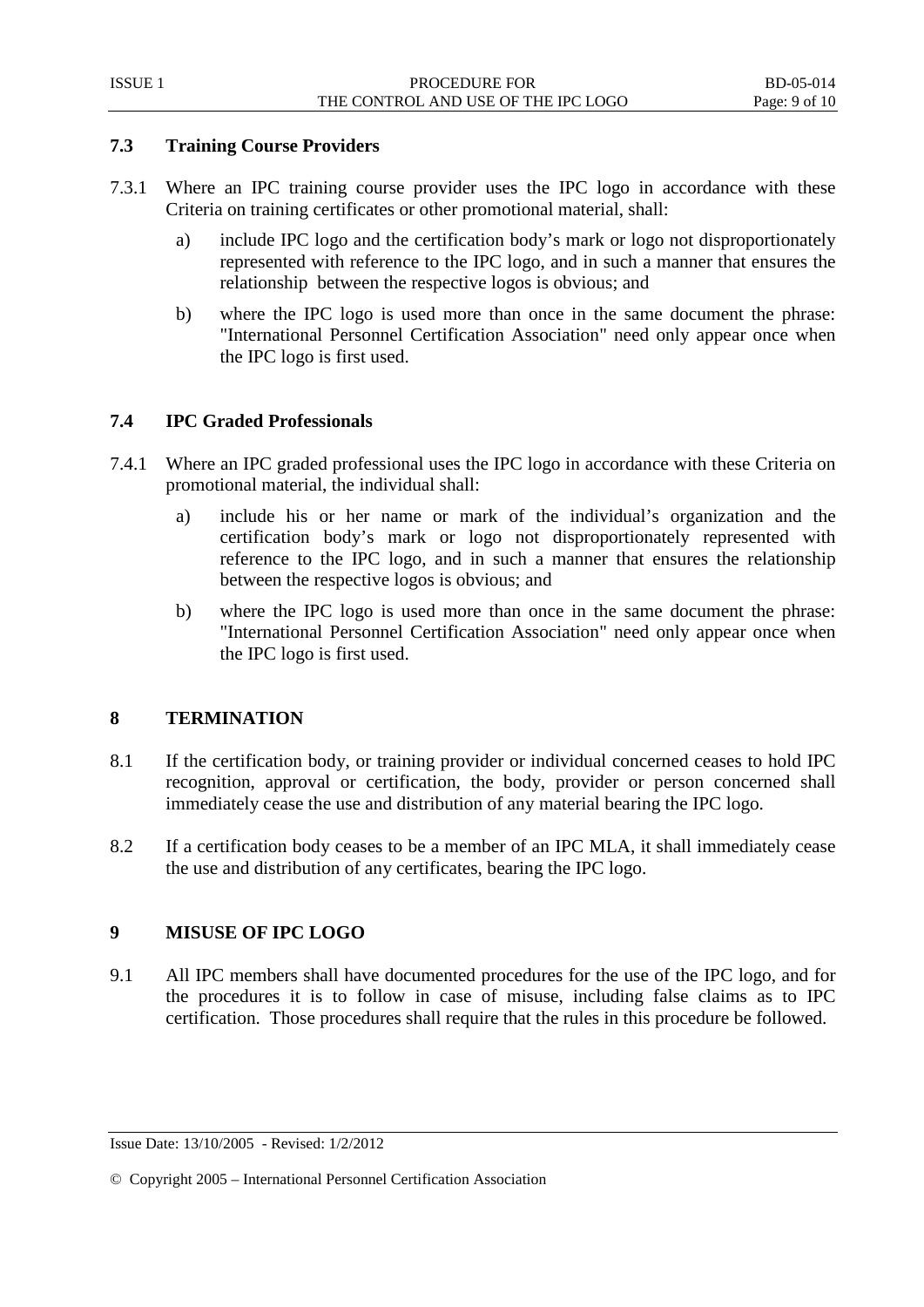## <span id="page-8-0"></span>**7.3 Training Course Providers**

- 7.3.1 Where an IPC training course provider uses the IPC logo in accordance with these Criteria on training certificates or other promotional material, shall:
	- a) include IPC logo and the certification body's mark or logo not disproportionately represented with reference to the IPC logo, and in such a manner that ensures the relationship between the respective logos is obvious; and
	- b) where the IPC logo is used more than once in the same document the phrase: "International Personnel Certification Association" need only appear once when the IPC logo is first used.

# <span id="page-8-1"></span>**7.4 IPC Graded Professionals**

- 7.4.1 Where an IPC graded professional uses the IPC logo in accordance with these Criteria on promotional material, the individual shall:
	- a) include his or her name or mark of the individual's organization and the certification body's mark or logo not disproportionately represented with reference to the IPC logo, and in such a manner that ensures the relationship between the respective logos is obvious; and
	- b) where the IPC logo is used more than once in the same document the phrase: "International Personnel Certification Association" need only appear once when the IPC logo is first used.

## <span id="page-8-2"></span>**8 TERMINATION**

- 8.1 If the certification body, or training provider or individual concerned ceases to hold IPC recognition, approval or certification, the body, provider or person concerned shall immediately cease the use and distribution of any material bearing the IPC logo.
- 8.2 If a certification body ceases to be a member of an IPC MLA, it shall immediately cease the use and distribution of any certificates, bearing the IPC logo.

## <span id="page-8-3"></span>**9 MISUSE OF IPC LOGO**

9.1 All IPC members shall have documented procedures for the use of the IPC logo, and for the procedures it is to follow in case of misuse, including false claims as to IPC certification. Those procedures shall require that the rules in this procedure be followed.

Issue Date: 13/10/2005 - Revised: 1/2/2012

<sup>©</sup> Copyright 2005 – International Personnel Certification Association